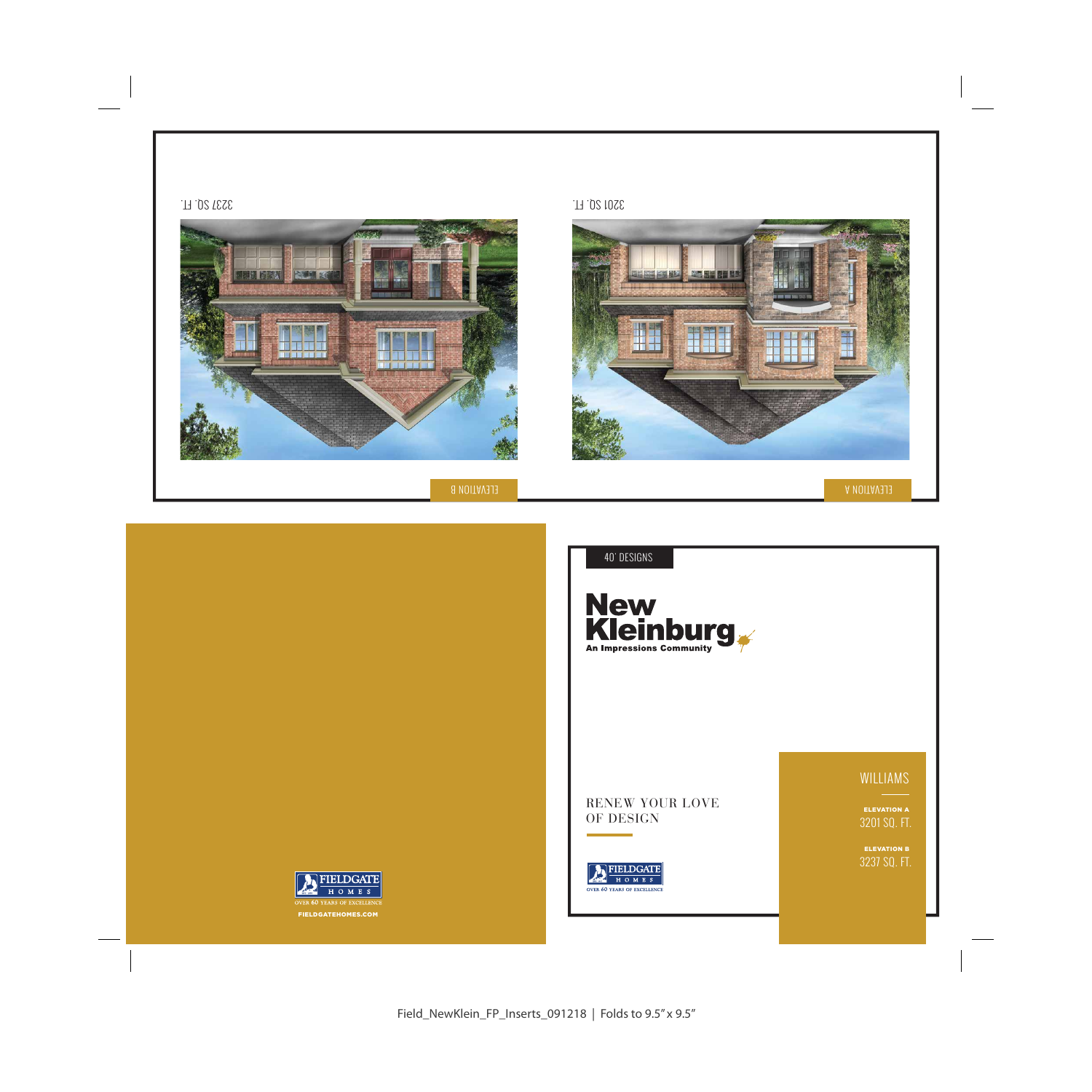

![](_page_0_Picture_0.jpeg)

![](_page_0_Picture_2.jpeg)

Field\_NewKlein\_FP\_Inserts\_091218 | Folds to 9.5" x 9.5"